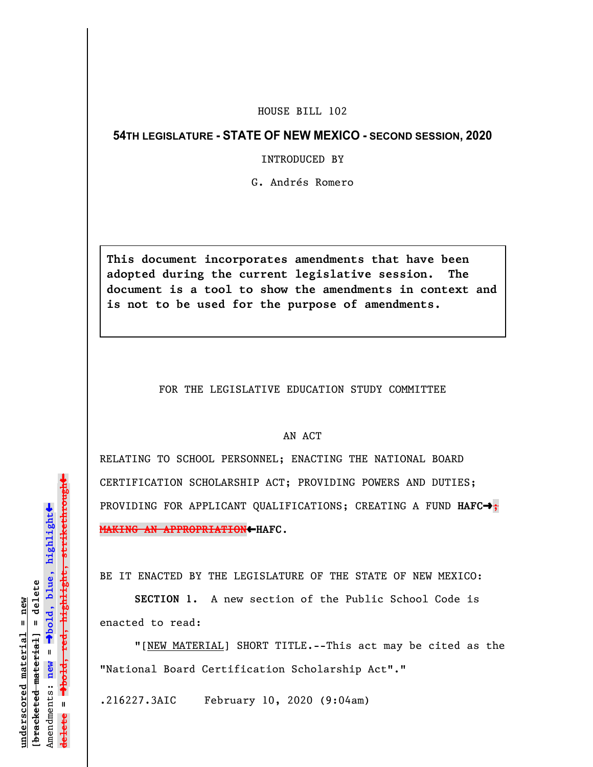## HOUSE BILL 102

## **54TH LEGISLATURE - STATE OF NEW MEXICO - SECOND SESSION, 2020**

INTRODUCED BY

G. Andrés Romero

**This document incorporates amendments that have been adopted during the current legislative session. The document is a tool to show the amendments in context and is not to be used for the purpose of amendments.** 

FOR THE LEGISLATIVE EDUCATION STUDY COMMITTEE

## AN ACT

RELATING TO SCHOOL PERSONNEL; ENACTING THE NATIONAL BOARD CERTIFICATION SCHOLARSHIP ACT; PROVIDING POWERS AND DUTIES; PROVIDING FOR APPLICANT QUALIFICATIONS; CREATING A FUND HAFC $\rightarrow$ ; **MAKING AN APPROPRIATION**»**HAFC**.

BE IT ENACTED BY THE LEGISLATURE OF THE STATE OF NEW MEXICO:

**SECTION 1.** A new section of the Public School Code is enacted to read:

"[NEW MATERIAL] SHORT TITLE.--This act may be cited as the "National Board Certification Scholarship Act"."

.216227.3AIC February 10, 2020 (9:04am)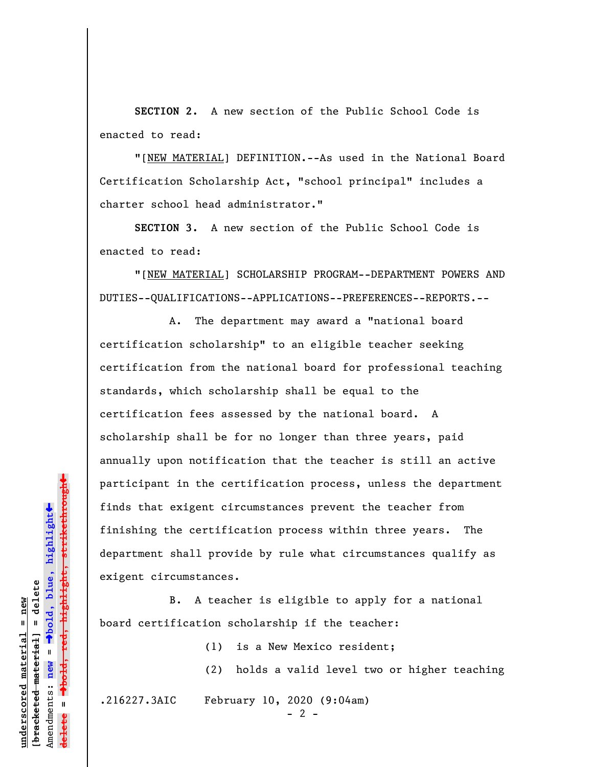**SECTION 2.** A new section of the Public School Code is enacted to read:

"[NEW MATERIAL] DEFINITION.--As used in the National Board Certification Scholarship Act, "school principal" includes a charter school head administrator."

**SECTION 3.** A new section of the Public School Code is enacted to read:

"[NEW MATERIAL] SCHOLARSHIP PROGRAM--DEPARTMENT POWERS AND DUTIES--QUALIFICATIONS--APPLICATIONS--PREFERENCES--REPORTS.--

A. The department may award a "national board certification scholarship" to an eligible teacher seeking certification from the national board for professional teaching standards, which scholarship shall be equal to the certification fees assessed by the national board. A scholarship shall be for no longer than three years, paid annually upon notification that the teacher is still an active participant in the certification process, unless the department finds that exigent circumstances prevent the teacher from finishing the certification process within three years. The department shall provide by rule what circumstances qualify as exigent circumstances.

B. A teacher is eligible to apply for a national board certification scholarship if the teacher:

(1) is a New Mexico resident;

(2) holds a valid level two or higher teaching

.216227.3AIC February 10, 2020 (9:04am)

 $- 2 -$ 

red<del>, highlight, strikethrough</del> º**bold, red, highlight, strikethrough**  $\ddot{\bullet}$ º**bold, blue, highlight** bracketed material] = delete **[bracketed material] = delete** mderscored material = new **underscored material = new** Amendments: **new** =  $\mathbf{u}$ Amendments: new **delete =**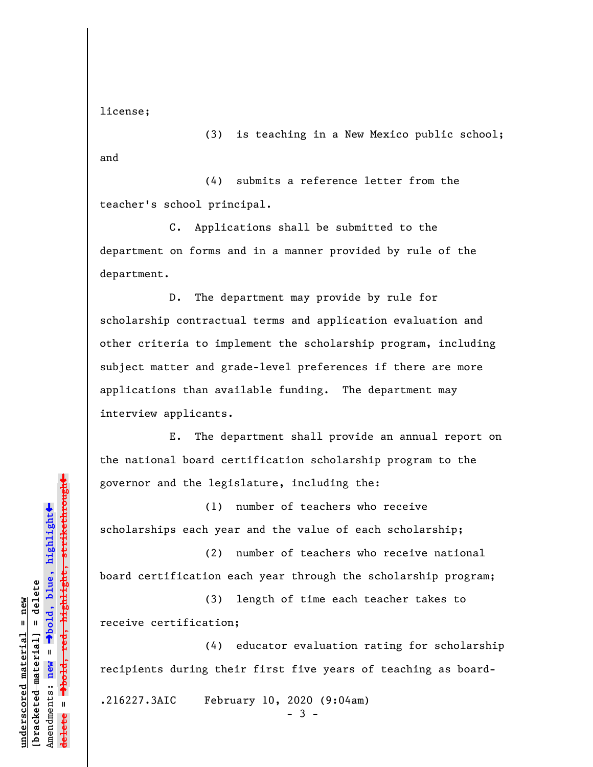license;

(3) is teaching in a New Mexico public school; and

(4) submits a reference letter from the teacher's school principal.

C. Applications shall be submitted to the department on forms and in a manner provided by rule of the department.

D. The department may provide by rule for scholarship contractual terms and application evaluation and other criteria to implement the scholarship program, including subject matter and grade-level preferences if there are more applications than available funding. The department may interview applicants.

E. The department shall provide an annual report on the national board certification scholarship program to the governor and the legislature, including the:

(1) number of teachers who receive scholarships each year and the value of each scholarship;

(2) number of teachers who receive national board certification each year through the scholarship program;

(3) length of time each teacher takes to receive certification;

(4) educator evaluation rating for scholarship recipients during their first five years of teaching as board-

.216227.3AIC February 10, 2020 (9:04am)

- 3 -

 $\ddag$ º**bold, red, highlight, strikethrough**  $\ddot{\bullet}$ º**bold, blue, highlight** bracketed material] = delete **[bracketed material] = delete** inderscored material = new **underscored material = new** Amendments: **new** =  $\mathbf{I}$ Amendments: new **delete =**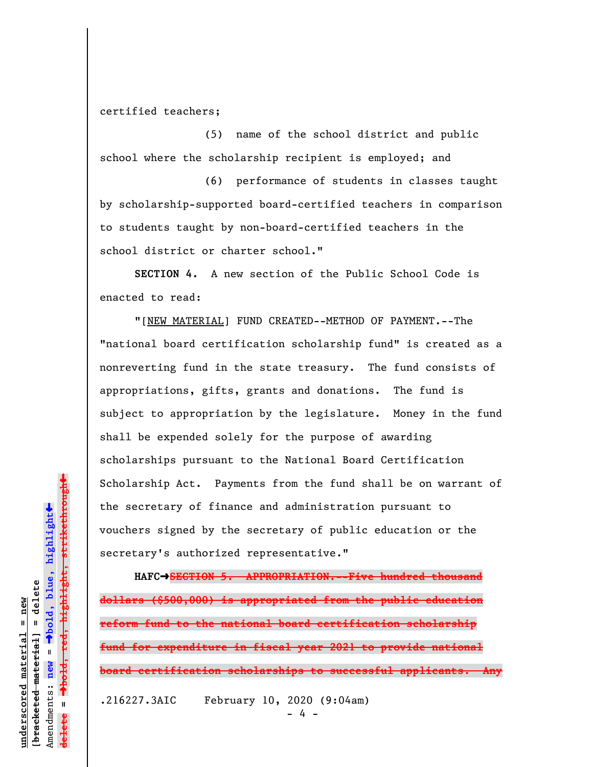## certified teachers;

(5) name of the school district and public school where the scholarship recipient is employed; and

(6) performance of students in classes taught by scholarship-supported board-certified teachers in comparison to students taught by non-board-certified teachers in the school district or charter school."

**SECTION 4.** A new section of the Public School Code is enacted to read:

"[NEW MATERIAL] FUND CREATED--METHOD OF PAYMENT.--The "national board certification scholarship fund" is created as a nonreverting fund in the state treasury. The fund consists of appropriations, gifts, grants and donations. The fund is subject to appropriation by the legislature. Money in the fund shall be expended solely for the purpose of awarding scholarships pursuant to the National Board Certification Scholarship Act. Payments from the fund shall be on warrant of the secretary of finance and administration pursuant to vouchers signed by the secretary of public education or the secretary's authorized representative."

**HAFC**º**SECTION 5. APPROPRIATION.--Five hundred thousand dollars (\$500,000) is appropriated from the public education reform fund to the national board certification scholarship fund for expenditure in fiscal year 2021 to provide national board certification scholarships to successful applicants. Any** .216227.3AIC February 10, 2020 (9:04am)

- 4 -